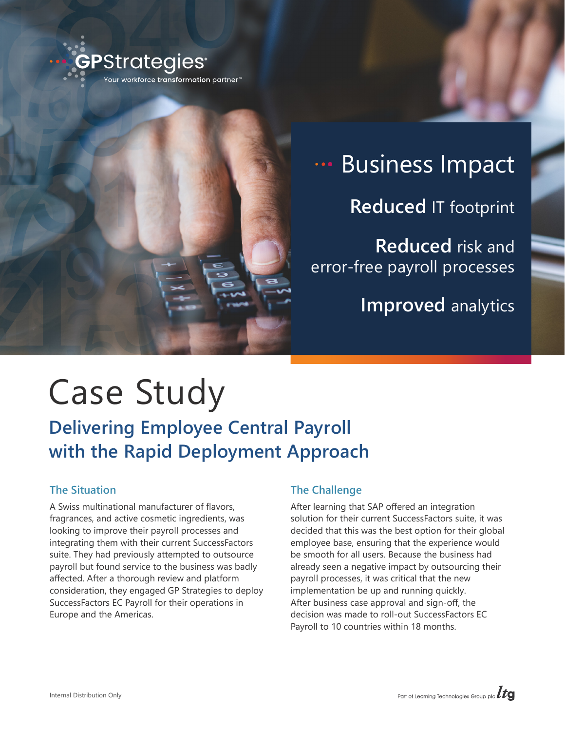



# **Business Impact Reduced** IT footprint **Reduced** risk and error-free payroll processes **Improved** analytics

# Case Study

# **Delivering Employee Central Payroll with the Rapid Deployment Approach**

# **The Situation**

A Swiss multinational manufacturer of flavors, fragrances, and active cosmetic ingredients, was looking to improve their payroll processes and integrating them with their current SuccessFactors suite. They had previously attempted to outsource payroll but found service to the business was badly affected. After a thorough review and platform consideration, they engaged GP Strategies to deploy SuccessFactors EC Payroll for their operations in Europe and the Americas.

# **The Challenge**

After learning that SAP offered an integration solution for their current SuccessFactors suite, it was decided that this was the best option for their global employee base, ensuring that the experience would be smooth for all users. Because the business had already seen a negative impact by outsourcing their payroll processes, it was critical that the new implementation be up and running quickly. After business case approval and sign-off, the decision was made to roll-out SuccessFactors EC Payroll to 10 countries within 18 months.